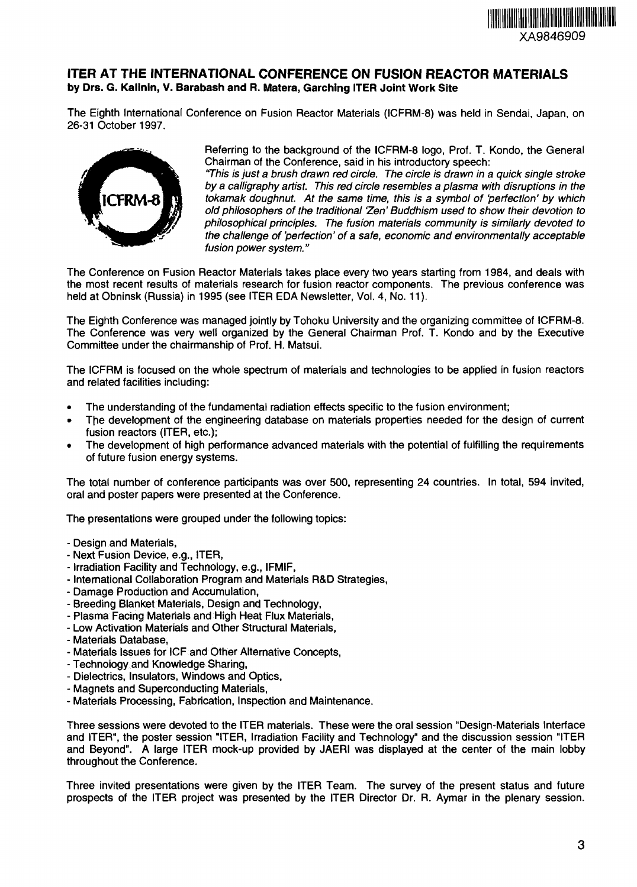

## **1TER AT THE INTERNATIONAL CONFERENCE ON FUSION REACTOR MATERIALS by Drs. G. Kalinin, V. Barabash and R. Matera, Garching ITER Joint Work Site**

The Eighth International Conference on Fusion Reactor Materials (ICFRM-8) was held in Sendai, Japan, on 26-31 October 1997.



Referring to the background of the ICFRM-8 logo, Prof. T. Kondo, the General Chairman of the Conference, said in his introductory speech:

This is just a brush drawn red circle. The circle is drawn in a quick single stroke by a calligraphy artist. This red circle resembles a plasma with disruptions in the tokamak doughnut. At the same time, this is a symbol of 'perfection' by which old philosophers of the traditional 'Zen' Buddhism used to show their devotion to philosophical principles. The fusion materials community is similarly devoted to the challenge of 'perfection' of a safe, economic and environmentally acceptable fusion power system."

The Conference on Fusion Reactor Materials takes place every two years starting from 1984, and deals with the most recent results of materials research for fusion reactor components. The previous conference was held at Obninsk (Russia) in 1995 (see ITER EDA Newsletter, Vol. 4, No. 11).

The Eighth Conference was managed jointly by Tohoku University and the organizing committee of ICFRM-8. The Conference was very well organized by the General Chairman Prof. T. Kondo and by the Executive Committee under the chairmanship of Prof. H. Matsui.

The ICFRM is focused on the whole spectrum of materials and technologies to be applied in fusion reactors and related facilities including:

- The understanding of the fundamental radiation effects specific to the fusion environment;
- The development of the engineering database on materials properties needed for the design of current fusion reactors (ITER, etc.);
- The development of high performance advanced materials with the potential of fulfilling the requirements of future fusion energy systems.

The total number of conference participants was over 500, representing 24 countries. In total, 594 invited, oral and poster papers were presented at the Conference.

The presentations were grouped under the following topics:

- Design and Materials,
- Next Fusion Device, e.g., ITER,
- Irradiation Facility and Technology, e.g., IFMIF,
- International Collaboration Program and Materials R&D Strategies,
- Damage Production and Accumulation,
- Breeding Blanket Materials, Design and Technology,
- Plasma Facing Materials and High Heat Flux Materials,
- Low Activation Materials and Other Structural Materials,
- Materials Database,
- Materials Issues for IGF and Other Alternative Concepts,
- Technology and Knowledge Sharing,
- Dielectrics, Insulators, Windows and Optics,
- Magnets and Superconducting Materials,
- Materials Processing, Fabrication, Inspection and Maintenance.

Three sessions were devoted to the ITER materials. These were the oral session "Design-Materials Interface and ITER", the poster session "ITER, Irradiation Facility and Technology" and the discussion session "ITER and Beyond". A large ITER mock-up provided by JAERI was displayed at the center of the main lobby throughout the Conference.

Three invited presentations were given by the ITER Team. The survey of the present status and future prospects of the ITER project was presented by the ITER Director Dr. R. Aymar in the plenary session.